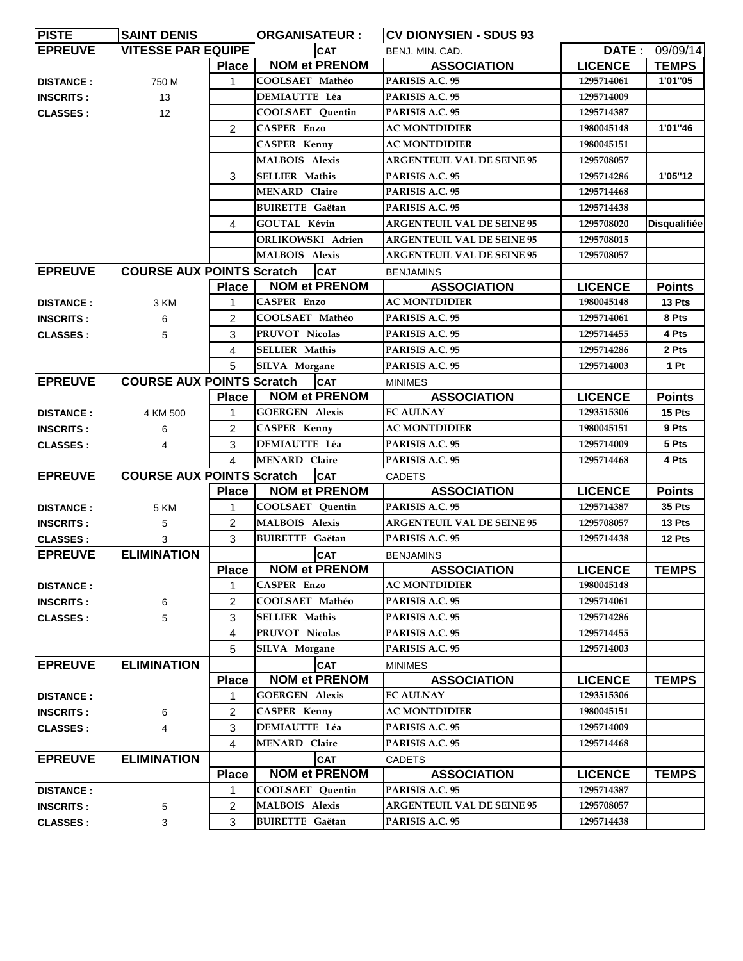| <b>PISTE</b>     | <b>SAINT DENIS</b>               |                | <b>ORGANISATEUR:</b>    | <b>CV DIONYSIEN - SDUS 93</b>     |                |                     |
|------------------|----------------------------------|----------------|-------------------------|-----------------------------------|----------------|---------------------|
| <b>EPREUVE</b>   | <b>VITESSE PAR EQUIPE</b>        |                | <b>CAT</b>              | BENJ. MIN. CAD.                   |                | DATE: 09/09/14      |
|                  |                                  | <b>Place</b>   | <b>NOM et PRENOM</b>    | <b>ASSOCIATION</b>                | <b>LICENCE</b> | <b>TEMPS</b>        |
| <b>DISTANCE:</b> | 750 M                            | 1              | COOLSAET Mathéo         | PARISIS A.C. 95                   | 1295714061     | 1'01"05             |
| <b>INSCRITS:</b> | 13                               |                | DEMIAUTTE Léa           | PARISIS A.C. 95                   | 1295714009     |                     |
| <b>CLASSES:</b>  | 12                               |                | COOLSAET Quentin        | PARISIS A.C. 95                   | 1295714387     |                     |
|                  |                                  | $\overline{2}$ | <b>CASPER Enzo</b>      | <b>AC MONTDIDIER</b>              | 1980045148     | 1'01"46             |
|                  |                                  |                | <b>CASPER Kenny</b>     | <b>AC MONTDIDIER</b>              | 1980045151     |                     |
|                  |                                  |                | <b>MALBOIS Alexis</b>   | <b>ARGENTEUIL VAL DE SEINE 95</b> | 1295708057     |                     |
|                  |                                  | 3              | <b>SELLIER Mathis</b>   | PARISIS A.C. 95                   | 1295714286     | 1'05"12             |
|                  |                                  |                | <b>MENARD Claire</b>    | PARISIS A.C. 95                   | 1295714468     |                     |
|                  |                                  |                | <b>BUIRETTE</b> Gaëtan  | PARISIS A.C. 95                   | 1295714438     |                     |
|                  |                                  | 4              | GOUTAL Kévin            | <b>ARGENTEUIL VAL DE SEINE 95</b> | 1295708020     | <b>Disqualifiée</b> |
|                  |                                  |                | ORLIKOWSKI Adrien       | <b>ARGENTEUIL VAL DE SEINE 95</b> | 1295708015     |                     |
|                  |                                  |                | <b>MALBOIS Alexis</b>   | <b>ARGENTEUIL VAL DE SEINE 95</b> | 1295708057     |                     |
| <b>EPREUVE</b>   | <b>COURSE AUX POINTS Scratch</b> |                | <b>CAT</b>              | <b>BENJAMINS</b>                  |                |                     |
|                  |                                  | <b>Place</b>   | <b>NOM et PRENOM</b>    | <b>ASSOCIATION</b>                | <b>LICENCE</b> | <b>Points</b>       |
| <b>DISTANCE:</b> | 3 KM                             | 1              | <b>CASPER Enzo</b>      | <b>AC MONTDIDIER</b>              | 1980045148     | 13 Pts              |
| <b>INSCRITS:</b> | 6                                | $\overline{2}$ | COOLSAET Mathéo         | PARISIS A.C. 95                   | 1295714061     | 8 Pts               |
| <b>CLASSES:</b>  | 5                                | 3              | PRUVOT Nicolas          | PARISIS A.C. 95                   | 1295714455     | 4 Pts               |
|                  |                                  | 4              | <b>SELLIER Mathis</b>   | PARISIS A.C. 95                   | 1295714286     | 2 Pts               |
|                  |                                  | 5              | SILVA Morgane           | PARISIS A.C. 95                   | 1295714003     | 1 Pt                |
| <b>EPREUVE</b>   | <b>COURSE AUX POINTS Scratch</b> |                | <b>CAT</b>              | <b>MINIMES</b>                    |                |                     |
|                  |                                  | <b>Place</b>   | <b>NOM et PRENOM</b>    | <b>ASSOCIATION</b>                | <b>LICENCE</b> | <b>Points</b>       |
| <b>DISTANCE:</b> | 4 KM 500                         | 1              | <b>GOERGEN Alexis</b>   | <b>EC AULNAY</b>                  | 1293515306     | 15 Pts              |
| <b>INSCRITS:</b> | 6                                | $\overline{2}$ | <b>CASPER Kenny</b>     | <b>AC MONTDIDIER</b>              | 1980045151     | 9 Pts               |
| <b>CLASSES:</b>  | 4                                | 3              | <b>DEMIAUTTE Léa</b>    | PARISIS A.C. 95                   | 1295714009     | 5 Pts               |
|                  |                                  | 4              | <b>MENARD Claire</b>    | PARISIS A.C. 95                   | 1295714468     | 4 Pts               |
| <b>EPREUVE</b>   | <b>COURSE AUX POINTS Scratch</b> |                | <b>CAT</b>              | <b>CADETS</b>                     |                |                     |
|                  |                                  | <b>Place</b>   | <b>NOM et PRENOM</b>    | <b>ASSOCIATION</b>                | <b>LICENCE</b> | <b>Points</b>       |
| <b>DISTANCE:</b> | 5 KM                             | 1              | <b>COOLSAET</b> Quentin | PARISIS A.C. 95                   | 1295714387     | 35 Pts              |
| <b>INSCRITS:</b> | 5                                | $\overline{2}$ | <b>MALBOIS Alexis</b>   | <b>ARGENTEUIL VAL DE SEINE 95</b> | 1295708057     | 13 Pts              |
| <b>CLASSES:</b>  | 3                                | 3              | <b>BUIRETTE Gaëtan</b>  | PARISIS A.C. 95                   | 1295714438     | 12 Pts              |
| <b>EPREUVE</b>   | <b>ELIMINATION</b>               |                | <b>CAT</b>              | <b>BENJAMINS</b>                  |                |                     |
|                  |                                  | <b>Place</b>   | <b>NOM et PRENOM</b>    | <b>ASSOCIATION</b>                | <b>LICENCE</b> | <b>TEMPS</b>        |
| <b>DISTANCE:</b> |                                  | 1              | <b>CASPER Enzo</b>      | <b>AC MONTDIDIER</b>              | 1980045148     |                     |
| <b>INSCRITS:</b> | 6                                | $\overline{2}$ | COOLSAET Mathéo         | PARISIS A.C. 95                   | 1295714061     |                     |
| <b>CLASSES:</b>  | 5                                | 3              | <b>SELLIER Mathis</b>   | PARISIS A.C. 95                   | 1295714286     |                     |
|                  |                                  | 4              | PRUVOT Nicolas          | PARISIS A.C. 95                   | 1295714455     |                     |
|                  |                                  | 5              | SILVA Morgane           | PARISIS A.C. 95                   | 1295714003     |                     |
| <b>EPREUVE</b>   | <b>ELIMINATION</b>               |                | <b>CAT</b>              | <b>MINIMES</b>                    |                |                     |
|                  |                                  | <b>Place</b>   | <b>NOM et PRENOM</b>    | <b>ASSOCIATION</b>                | <b>LICENCE</b> | <b>TEMPS</b>        |
| <b>DISTANCE:</b> |                                  | 1              | <b>GOERGEN Alexis</b>   | <b>EC AULNAY</b>                  | 1293515306     |                     |
| <b>INSCRITS:</b> | 6                                | $\overline{2}$ | <b>CASPER Kenny</b>     | <b>AC MONTDIDIER</b>              | 1980045151     |                     |
| <b>CLASSES:</b>  | 4                                | 3              | <b>DEMIAUTTE Léa</b>    | PARISIS A.C. 95                   | 1295714009     |                     |
|                  |                                  | 4              | <b>MENARD</b> Claire    | PARISIS A.C. 95                   | 1295714468     |                     |
| <b>EPREUVE</b>   | <b>ELIMINATION</b>               |                | <b>CAT</b>              | <b>CADETS</b>                     |                |                     |
|                  |                                  | <b>Place</b>   | <b>NOM et PRENOM</b>    | <b>ASSOCIATION</b>                | <b>LICENCE</b> | <b>TEMPS</b>        |
| <b>DISTANCE:</b> |                                  | 1              | <b>COOLSAET Quentin</b> | PARISIS A.C. 95                   | 1295714387     |                     |
| <b>INSCRITS:</b> | 5                                | 2              | <b>MALBOIS Alexis</b>   | <b>ARGENTEUIL VAL DE SEINE 95</b> | 1295708057     |                     |
| <b>CLASSES:</b>  | 3                                | 3              | <b>BUIRETTE</b> Gaëtan  | PARISIS A.C. 95                   | 1295714438     |                     |
|                  |                                  |                |                         |                                   |                |                     |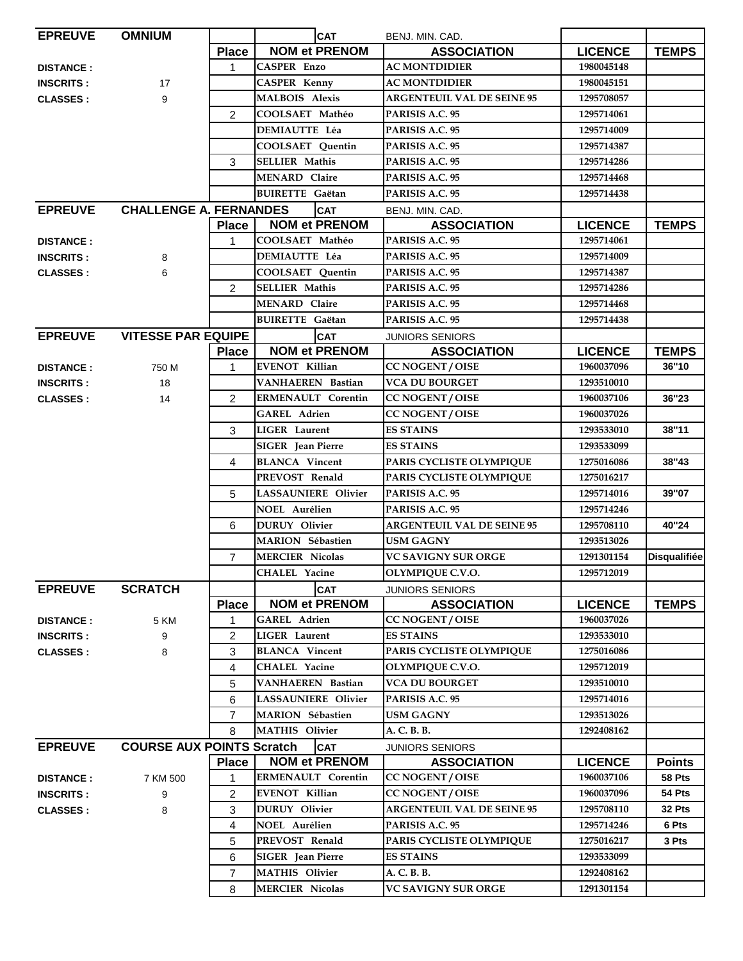| <b>EPREUVE</b>   | <b>OMNIUM</b>                    |                | <b>CAT</b>                                         | BENJ. MIN. CAD.                              |                          |                     |
|------------------|----------------------------------|----------------|----------------------------------------------------|----------------------------------------------|--------------------------|---------------------|
|                  |                                  | <b>Place</b>   | <b>NOM et PRENOM</b>                               | <b>ASSOCIATION</b>                           | <b>LICENCE</b>           | <b>TEMPS</b>        |
| <b>DISTANCE:</b> |                                  | $\mathbf 1$    | <b>CASPER Enzo</b>                                 | <b>AC MONTDIDIER</b>                         | 1980045148               |                     |
| <b>INSCRITS:</b> | 17                               |                | <b>CASPER Kenny</b>                                | <b>AC MONTDIDIER</b>                         | 1980045151               |                     |
| <b>CLASSES:</b>  | 9                                |                | <b>MALBOIS Alexis</b>                              | <b>ARGENTEUIL VAL DE SEINE 95</b>            | 1295708057               |                     |
|                  |                                  | 2              | COOLSAET Mathéo                                    | PARISIS A.C. 95                              | 1295714061               |                     |
|                  |                                  |                | <b>DEMIAUTTE Léa</b>                               | PARISIS A.C. 95                              | 1295714009               |                     |
|                  |                                  |                | COOLSAET Quentin                                   | PARISIS A.C. 95                              | 1295714387               |                     |
|                  |                                  | 3              | <b>SELLIER Mathis</b>                              | PARISIS A.C. 95                              | 1295714286               |                     |
|                  |                                  |                | <b>MENARD Claire</b>                               | PARISIS A.C. 95                              | 1295714468               |                     |
|                  |                                  |                | <b>BUIRETTE</b> Gaëtan                             | PARISIS A.C. 95                              | 1295714438               |                     |
| <b>EPREUVE</b>   | <b>CHALLENGE A. FERNANDES</b>    |                | <b>CAT</b>                                         | BENJ. MIN. CAD.                              |                          |                     |
|                  |                                  | <b>Place</b>   | <b>NOM et PRENOM</b>                               | <b>ASSOCIATION</b>                           | <b>LICENCE</b>           | <b>TEMPS</b>        |
| <b>DISTANCE:</b> |                                  | 1              | COOLSAET Mathéo                                    | PARISIS A.C. 95                              | 1295714061               |                     |
| <b>INSCRITS:</b> | 8                                |                | <b>DEMIAUTTE Léa</b>                               | PARISIS A.C. 95                              | 1295714009               |                     |
| <b>CLASSES:</b>  | 6                                |                | <b>COOLSAET Quentin</b>                            | PARISIS A.C. 95                              | 1295714387               |                     |
|                  |                                  | $\overline{2}$ | <b>SELLIER Mathis</b>                              | PARISIS A.C. 95                              | 1295714286               |                     |
|                  |                                  |                | <b>MENARD Claire</b>                               | PARISIS A.C. 95                              | 1295714468               |                     |
|                  |                                  |                | <b>BUIRETTE</b> Gaëtan                             | PARISIS A.C. 95                              | 1295714438               |                     |
| <b>EPREUVE</b>   | <b>VITESSE PAR EQUIPE</b>        |                | <b>CAT</b>                                         | <b>JUNIORS SENIORS</b>                       |                          |                     |
|                  |                                  | <b>Place</b>   | <b>NOM et PRENOM</b>                               | <b>ASSOCIATION</b>                           | <b>LICENCE</b>           | <b>TEMPS</b>        |
| <b>DISTANCE:</b> | 750 M                            | 1              | <b>EVENOT Killian</b>                              | <b>CC NOGENT / OISE</b>                      | 1960037096               | 36"10               |
| <b>INSCRITS:</b> | 18                               |                | <b>VANHAEREN</b> Bastian                           | <b>VCA DU BOURGET</b>                        | 1293510010               |                     |
| <b>CLASSES:</b>  | 14                               | 2              | <b>ERMENAULT Corentin</b>                          | <b>CC NOGENT / OISE</b>                      | 1960037106               | 36"23               |
|                  |                                  |                | <b>GAREL Adrien</b>                                | <b>CC NOGENT / OISE</b>                      | 1960037026               |                     |
|                  |                                  | 3              | <b>LIGER</b> Laurent                               | <b>ES STAINS</b>                             | 1293533010               | 38"11               |
|                  |                                  |                | SIGER Jean Pierre                                  | <b>ES STAINS</b>                             | 1293533099               |                     |
|                  |                                  | 4              | <b>BLANCA</b> Vincent                              | PARIS CYCLISTE OLYMPIQUE                     | 1275016086               | 38"43               |
|                  |                                  |                | PREVOST Renald                                     | PARIS CYCLISTE OLYMPIQUE                     | 1275016217               |                     |
|                  |                                  | 5              | <b>LASSAUNIERE Olivier</b>                         | PARISIS A.C. 95                              | 1295714016               | 39"07               |
|                  |                                  |                | <b>NOEL Aurélien</b>                               | PARISIS A.C. 95                              | 1295714246               |                     |
|                  |                                  | 6              | <b>DURUY</b> Olivier                               | <b>ARGENTEUIL VAL DE SEINE 95</b>            | 1295708110               | 40"24               |
|                  |                                  |                | <b>MARION</b> Sébastien                            | <b>USM GAGNY</b>                             | 1293513026               |                     |
|                  |                                  | $\overline{7}$ | <b>MERCIER Nicolas</b>                             | <b>VC SAVIGNY SUR ORGE</b>                   | 1291301154               | <b>Disqualifiée</b> |
|                  |                                  |                | <b>CHALEL Yacine</b>                               | OLYMPIQUE C.V.O.                             | 1295712019               |                     |
| <b>EPREUVE</b>   | <b>SCRATCH</b>                   |                | <b>CAT</b>                                         | <b>JUNIORS SENIORS</b>                       |                          |                     |
|                  |                                  | <b>Place</b>   | <b>NOM et PRENOM</b>                               | <b>ASSOCIATION</b>                           | <b>LICENCE</b>           | <b>TEMPS</b>        |
| <b>DISTANCE:</b> | 5 KM                             | 1              | <b>GAREL Adrien</b>                                | <b>CC NOGENT / OISE</b>                      | 1960037026               |                     |
| <b>INSCRITS:</b> | 9                                | 2              | <b>LIGER</b> Laurent                               | <b>ES STAINS</b>                             | 1293533010               |                     |
| <b>CLASSES:</b>  | 8                                | 3              | <b>BLANCA</b> Vincent                              | PARIS CYCLISTE OLYMPIQUE                     | 1275016086               |                     |
|                  |                                  | 4              | <b>CHALEL Yacine</b>                               | OLYMPIQUE C.V.O.                             | 1295712019               |                     |
|                  |                                  | 5              | VANHAEREN Bastian                                  | <b>VCA DU BOURGET</b>                        | 1293510010               |                     |
|                  |                                  | 6              | LASSAUNIERE Olivier                                | PARISIS A.C. 95                              | 1295714016               |                     |
|                  |                                  | $\overline{7}$ | MARION Sébastien                                   | <b>USM GAGNY</b>                             | 1293513026               |                     |
|                  |                                  |                | <b>MATHIS Olivier</b>                              | A. C. B. B.                                  |                          |                     |
|                  |                                  | 8              |                                                    |                                              | 1292408162               |                     |
| <b>EPREUVE</b>   | <b>COURSE AUX POINTS Scratch</b> | <b>Place</b>   | <b>CAT</b><br><b>NOM et PRENOM</b>                 | <b>JUNIORS SENIORS</b><br><b>ASSOCIATION</b> |                          | <b>Points</b>       |
|                  |                                  |                |                                                    |                                              | <b>LICENCE</b>           |                     |
| <b>DISTANCE:</b> | 7 KM 500                         | 1              | <b>ERMENAULT Corentin</b><br><b>EVENOT Killian</b> | <b>CC NOGENT / OISE</b>                      | 1960037106<br>1960037096 | 58 Pts<br>54 Pts    |
| <b>INSCRITS:</b> | 9                                | $\overline{2}$ |                                                    | <b>CC NOGENT / OISE</b>                      |                          |                     |
| <b>CLASSES:</b>  | 8                                | 3              | <b>DURUY</b> Olivier                               | <b>ARGENTEUIL VAL DE SEINE 95</b>            | 1295708110               | 32 Pts<br>6 Pts     |
|                  |                                  | 4              | <b>NOEL Aurélien</b>                               | PARISIS A.C. 95                              | 1295714246               |                     |
|                  |                                  | 5              | PREVOST Renald                                     | PARIS CYCLISTE OLYMPIQUE                     | 1275016217               | 3 Pts               |
|                  |                                  | 6              | <b>SIGER</b> Jean Pierre                           | <b>ES STAINS</b>                             | 1293533099               |                     |
|                  |                                  | $\overline{7}$ | <b>MATHIS Olivier</b>                              | A. C. B. B.                                  | 1292408162               |                     |
|                  |                                  | 8              | <b>MERCIER Nicolas</b>                             | VC SAVIGNY SUR ORGE                          | 1291301154               |                     |